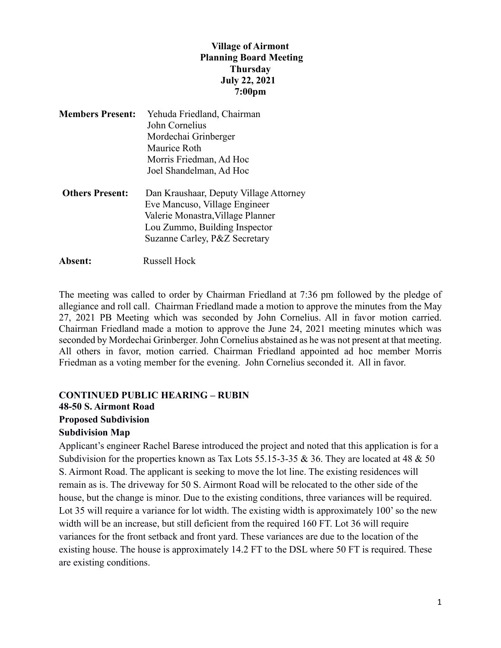### **Village of Airmont Planning Board Meeting Thursday July 22, 2021 7:00pm**

| <b>Members Present:</b> | Yehuda Friedland, Chairman                                                                                   |
|-------------------------|--------------------------------------------------------------------------------------------------------------|
|                         | John Cornelius                                                                                               |
|                         | Mordechai Grinberger                                                                                         |
|                         | Maurice Roth                                                                                                 |
|                         | Morris Friedman, Ad Hoc                                                                                      |
|                         | Joel Shandelman, Ad Hoc                                                                                      |
| <b>Others Present:</b>  | Dan Kraushaar, Deputy Village Attorney<br>Eve Mancuso, Village Engineer<br>Valerie Monastra, Village Planner |
|                         | Lou Zummo, Building Inspector                                                                                |
|                         | Suzanne Carley, P&Z Secretary                                                                                |
| Absent:                 | Russell Hock                                                                                                 |

The meeting was called to order by Chairman Friedland at 7:36 pm followed by the pledge of allegiance and roll call. Chairman Friedland made a motion to approve the minutes from the May 27, 2021 PB Meeting which was seconded by John Cornelius. All in favor motion carried. Chairman Friedland made a motion to approve the June 24, 2021 meeting minutes which was seconded by Mordechai Grinberger. John Cornelius abstained as he was not present at that meeting. All others in favor, motion carried. Chairman Friedland appointed ad hoc member Morris Friedman as a voting member for the evening. John Cornelius seconded it. All in favor.

## **CONTINUED PUBLIC HEARING – RUBIN 48-50 S. Airmont Road Proposed Subdivision**

# **Subdivision Map**

Applicant's engineer Rachel Barese introduced the project and noted that this application is for a Subdivision for the properties known as Tax Lots 55.15-3-35 & 36. They are located at 48 & 50 S. Airmont Road. The applicant is seeking to move the lot line. The existing residences will remain as is. The driveway for 50 S. Airmont Road will be relocated to the other side of the house, but the change is minor. Due to the existing conditions, three variances will be required. Lot 35 will require a variance for lot width. The existing width is approximately 100' so the new width will be an increase, but still deficient from the required 160 FT. Lot 36 will require variances for the front setback and front yard. These variances are due to the location of the existing house. The house is approximately 14.2 FT to the DSL where 50 FT is required. These are existing conditions.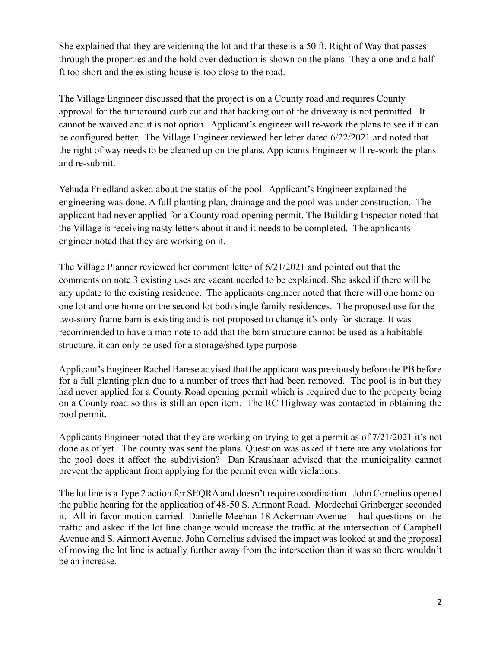She explained that they are widening the lot and that these is a 50 ft. Right of Way that passes through the properties and the hold over deduction is shown on the plans. They a one and a half ft too short and the existing house is too close to the road.

The Village Engineer discussed that the project is on a County road and requires County approval for the turnaround curb cut and that backing out of the driveway is not permitted. It cannot be waived and it is not option. Applicant's engineer will re-work the plans to see if it can be configured better. The Village Engineer reviewed her letter dated 6/22/2021 and noted that the right of way needs to be cleaned up on the plans. Applicants Engineer will re-work the plans and re-submit.

Yehuda Friedland asked about the status of the pool. Applicant's Engineer explained the engineering was done. A full planting plan, drainage and the pool was under construction. The applicant had never applied for a County road opening permit. The Building Inspector noted that the Village is receiving nasty letters about it and it needs to be completed. The applicants engineer noted that they are working on it.

The Village Planner reviewed her comment letter of 6/21/2021 and pointed out that the comments on note 3 existing uses are vacant needed to be explained. She asked if there will be any update to the existing residence. The applicants engineer noted that there will one home on one lot and one home on the second lot both single family residences. The proposed use for the two-story frame barn is existing and is not proposed to change it's only for storage. It was recommended to have a map note to add that the barn structure cannot be used as a habitable structure, it can only be used for a storage/shed type purpose.

Applicant's Engineer Rachel Barese advised that the applicant was previously before the PB before for a full planting plan due to a number of trees that had been removed. The pool is in but they had never applied for a County Road opening permit which is required due to the property being on a County road so this is still an open item. The RC Highway was contacted in obtaining the pool permit.

Applicants Engineer noted that they are working on trying to get a permit as of 7/21/2021 it's not done as of yet. The county was sent the plans. Question was asked if there are any violations for the pool does it affect the subdivision? Dan Kraushaar advised that the municipality cannot prevent the applicant from applying for the permit even with violations.

The lot line is a Type 2 action for SEQRA and doesn't require coordination. John Cornelius opened the public hearing for the application of 48-50 S. Airmont Road. Mordechai Grinberger seconded it. All in favor motion carried. Danielle Meehan 18 Ackerman Avenue – had questions on the traffic and asked if the lot line change would increase the traffic at the intersection of Campbell Avenue and S. Airmont Avenue. John Cornelius advised the impact was looked at and the proposal of moving the lot line is actually further away from the intersection than it was so there wouldn't be an increase.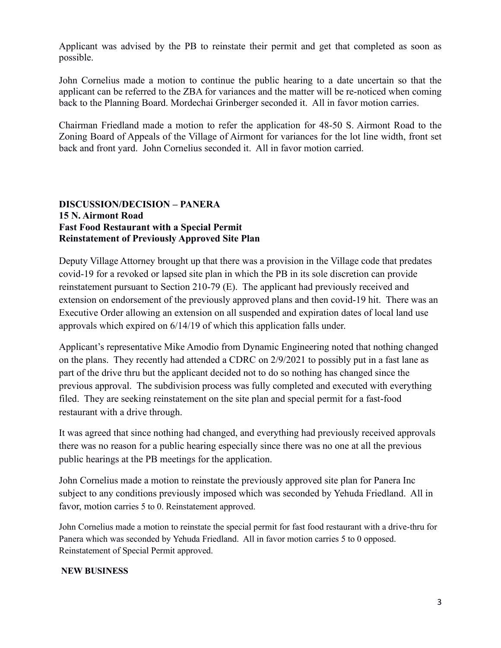Applicant was advised by the PB to reinstate their permit and get that completed as soon as possible.

John Cornelius made a motion to continue the public hearing to a date uncertain so that the applicant can be referred to the ZBA for variances and the matter will be re-noticed when coming back to the Planning Board. Mordechai Grinberger seconded it. All in favor motion carries.

Chairman Friedland made a motion to refer the application for 48-50 S. Airmont Road to the Zoning Board of Appeals of the Village of Airmont for variances for the lot line width, front set back and front yard. John Cornelius seconded it. All in favor motion carried.

### **DISCUSSION/DECISION – PANERA 15 N. Airmont Road Fast Food Restaurant with a Special Permit Reinstatement of Previously Approved Site Plan**

Deputy Village Attorney brought up that there was a provision in the Village code that predates covid-19 for a revoked or lapsed site plan in which the PB in its sole discretion can provide reinstatement pursuant to Section 210-79 (E). The applicant had previously received and extension on endorsement of the previously approved plans and then covid-19 hit. There was an Executive Order allowing an extension on all suspended and expiration dates of local land use approvals which expired on 6/14/19 of which this application falls under.

Applicant's representative Mike Amodio from Dynamic Engineering noted that nothing changed on the plans. They recently had attended a CDRC on 2/9/2021 to possibly put in a fast lane as part of the drive thru but the applicant decided not to do so nothing has changed since the previous approval. The subdivision process was fully completed and executed with everything filed. They are seeking reinstatement on the site plan and special permit for a fast-food restaurant with a drive through.

It was agreed that since nothing had changed, and everything had previously received approvals there was no reason for a public hearing especially since there was no one at all the previous public hearings at the PB meetings for the application.

John Cornelius made a motion to reinstate the previously approved site plan for Panera Inc subject to any conditions previously imposed which was seconded by Yehuda Friedland. All in favor, motion carries 5 to 0. Reinstatement approved.

John Cornelius made a motion to reinstate the special permit for fast food restaurant with a drive-thru for Panera which was seconded by Yehuda Friedland. All in favor motion carries 5 to 0 opposed. Reinstatement of Special Permit approved.

#### **NEW BUSINESS**